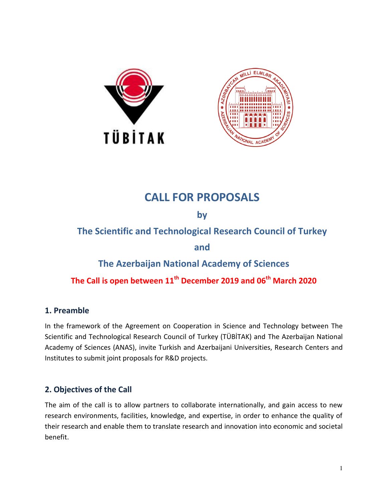



# **CALL FOR PROPOSALS**

**by**

**The Scientific and Technological Research Council of Turkey** 

**and** 

# **The Azerbaijan National Academy of Sciences**

# **The Call is open between 11th December 2019 and 06th March 2020**

### **1. Preamble**

In the framework of the Agreement on Cooperation in Science and Technology between The Scientific and Technological Research Council of Turkey (TÜBİTAK) and The Azerbaijan National Academy of Sciences (ANAS), invite Turkish and Azerbaijani Universities, Research Centers and Institutes to submit joint proposals for R&D projects.

### **2. Objectives of the Call**

The aim of the call is to allow partners to collaborate internationally, and gain access to new research environments, facilities, knowledge, and expertise, in order to enhance the quality of their research and enable them to translate research and innovation into economic and societal benefit.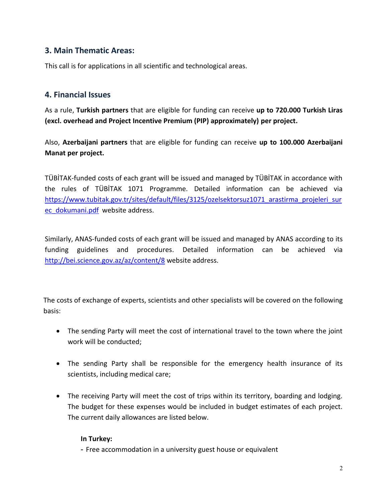#### **3. Main Thematic Areas:**

This call is for applications in all scientific and technological areas.

#### **4. Financial Issues**

As a rule, **Turkish partners** that are eligible for funding can receive **up to 720.000 Turkish Liras (excl. overhead and Project Incentive Premium (PIP) approximately) per project.**

Also, **Azerbaijani partners** that are eligible for funding can receive **up to 100.000 Azerbaijani Manat per project.**

TÜBİTAK-funded costs of each grant will be issued and managed by TÜBİTAK in accordance with the rules of TÜBİTAK 1071 Programme. Detailed information can be achieved via [https://www.tubitak.gov.tr/sites/default/files/3125/ozelsektorsuz1071\\_arastirma\\_projeleri\\_sur](https://www.tubitak.gov.tr/sites/default/files/3125/ozelsektorsuz1071_arastirma_projeleri_surec_dokumani.pdf) [ec\\_dokumani.pdf](https://www.tubitak.gov.tr/sites/default/files/3125/ozelsektorsuz1071_arastirma_projeleri_surec_dokumani.pdf) website address.

Similarly, ANAS-funded costs of each grant will be issued and managed by ANAS according to its funding guidelines and procedures. Detailed information can be achieved via <http://bei.science.gov.az/az/content/8>website address.

The costs of exchange of experts, scientists and other specialists will be covered on the following basis:

- The sending Party will meet the cost of international travel to the town where the joint work will be conducted;
- The sending Party shall be responsible for the emergency health insurance of its scientists, including medical care;
- The receiving Party will meet the cost of trips within its territory, boarding and lodging. The budget for these expenses would be included in budget estimates of each project. The current daily allowances are listed below.

#### **In Turkey:**

- Free accommodation in a university guest house or equivalent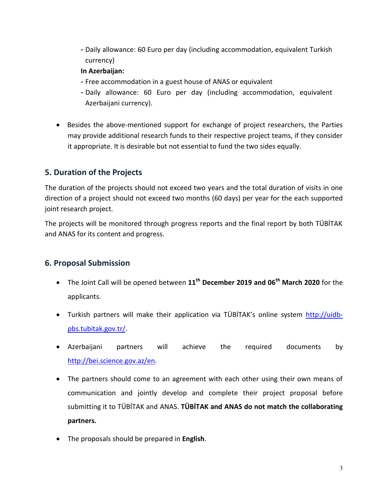- Daily allowance: 60 Euro per day (including accommodation, equivalent Turkish currency)

#### **In Azerbaijan:**

- Free accommodation in a guest house of ANAS or equivalent
- Daily allowance: 60 Euro per day (including accommodation, equivalent Azerbaijani currency).
- Besides the above-mentioned support for exchange of project researchers, the Parties may provide additional research funds to their respective project teams, if they consider it appropriate. It is desirable but not essential to fund the two sides equally.

#### **5. Duration of the Projects**

The duration of the projects should not exceed two years and the total duration of visits in one direction of a project should not exceed two months (60 days) per year for the each supported joint research project.

The projects will be monitored through progress reports and the final report by both TÜBİTAK and ANAS for its content and progress.

#### **6. Proposal Submission**

- The Joint Call will be opened between **11th December 2019 and 06th March 2020** for the applicants.
- Turkish partners will make their application via TÜBİTAK's online system [http://uidb](http://uidb-pbs.tubitak.gov.tr/)[pbs.tubitak.gov.tr/.](http://uidb-pbs.tubitak.gov.tr/)
- Azerbaijani partners will achieve the required documents by [http://bei.science.gov.az/en.](http://bei.science.gov.az/en)
- The partners should come to an agreement with each other using their own means of communication and jointly develop and complete their project proposal before submitting it to TÜBİTAK and ANAS. **TÜBİTAK and ANAS do not match the collaborating partners.**
- The proposals should be prepared in **English**.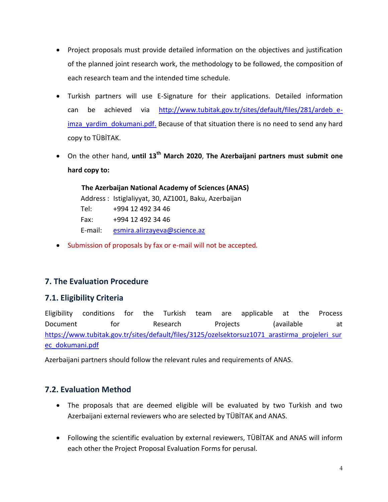- Project proposals must provide detailed information on the objectives and justification of the planned joint research work, the methodology to be followed, the composition of each research team and the intended time schedule.
- Turkish partners will use E-Signature for their applications. Detailed information can be achieved via [http://www.tubitak.gov.tr/sites/default/files/281/ardeb\\_e](http://www.tubitak.gov.tr/sites/default/files/281/ardeb_e-imza_yardim_dokumani.pdf)imza yardim dokumani.pdf. Because of that situation there is no need to send any hard copy to TÜBİTAK.
- On the other hand, **until 13th March 2020**, **The Azerbaijani partners must submit one hard copy to:**

 **The Azerbaijan National Academy of Sciences (ANAS)**  Address : Istiglaliyyat, 30, AZ1001, Baku, Azerbaijan Tel: +994 12 492 34 46 Fax: +994 12 492 34 46 E-mail: [esmira.alirzayeva@science.az](mailto:esmira.alirzayeva@science.az) 

• Submission of proposals by fax or e-mail will not be accepted.

### **7. The Evaluation Procedure**

### **7.1. Eligibility Criteria**

Eligibility conditions for the Turkish team are applicable at the Process Document for Research Projects (available at https://www.tubitak.gov.tr/sites/default/files/3125/ozelsektorsuz1071 arastirma projeleri sur [ec\\_dokumani.pdf](https://www.tubitak.gov.tr/sites/default/files/3125/ozelsektorsuz1071_arastirma_projeleri_surec_dokumani.pdf)

Azerbaijani partners should follow the relevant rules and requirements of ANAS.

### **7.2. Evaluation Method**

- The proposals that are deemed eligible will be evaluated by two Turkish and two Azerbaijani external reviewers who are selected by TÜBİTAK and ANAS.
- Following the scientific evaluation by external reviewers, TÜBİTAK and ANAS will inform each other the Project Proposal Evaluation Forms for perusal.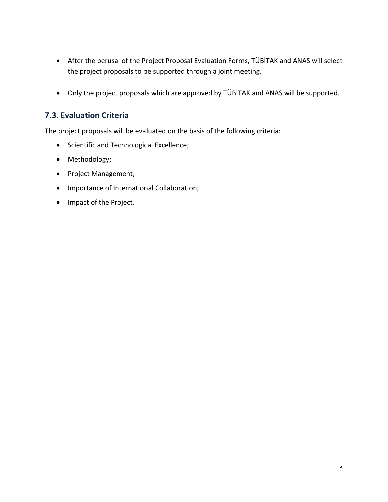- After the perusal of the Project Proposal Evaluation Forms, TÜBİTAK and ANAS will select the project proposals to be supported through a joint meeting.
- Only the project proposals which are approved by TÜBİTAK and ANAS will be supported.

### **7.3. Evaluation Criteria**

The project proposals will be evaluated on the basis of the following criteria:

- Scientific and Technological Excellence;
- Methodology;
- Project Management;
- Importance of International Collaboration;
- Impact of the Project.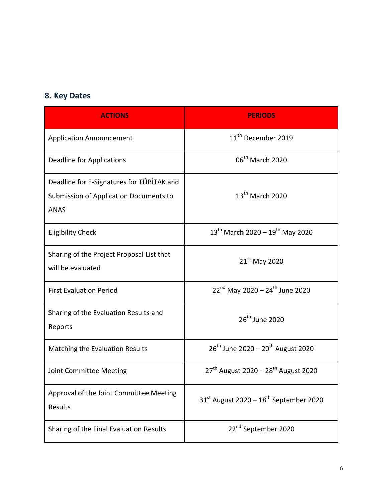# **8. Key Dates**

| <b>ACTIONS</b>                                                                                     | <b>PERIODS</b>                                              |
|----------------------------------------------------------------------------------------------------|-------------------------------------------------------------|
| <b>Application Announcement</b>                                                                    | 11 <sup>th</sup> December 2019                              |
| <b>Deadline for Applications</b>                                                                   | 06 <sup>th</sup> March 2020                                 |
| Deadline for E-Signatures for TÜBİTAK and<br>Submission of Application Documents to<br><b>ANAS</b> | $13^{\text{th}}$ March 2020                                 |
| <b>Eligibility Check</b>                                                                           | $13^{th}$ March 2020 - $19^{th}$ May 2020                   |
| Sharing of the Project Proposal List that<br>will be evaluated                                     | $21st$ May 2020                                             |
| <b>First Evaluation Period</b>                                                                     | $22^{nd}$ May 2020 - $24^{th}$ June 2020                    |
| Sharing of the Evaluation Results and<br>Reports                                                   | 26 <sup>th</sup> June 2020                                  |
| Matching the Evaluation Results                                                                    | 26 <sup>th</sup> June 2020 - 20 <sup>th</sup> August 2020   |
| Joint Committee Meeting                                                                            | 27 <sup>th</sup> August 2020 - 28 <sup>th</sup> August 2020 |
| Approval of the Joint Committee Meeting<br>Results                                                 | $31st$ August 2020 – $18th$ September 2020                  |
| Sharing of the Final Evaluation Results                                                            | 22 <sup>nd</sup> September 2020                             |